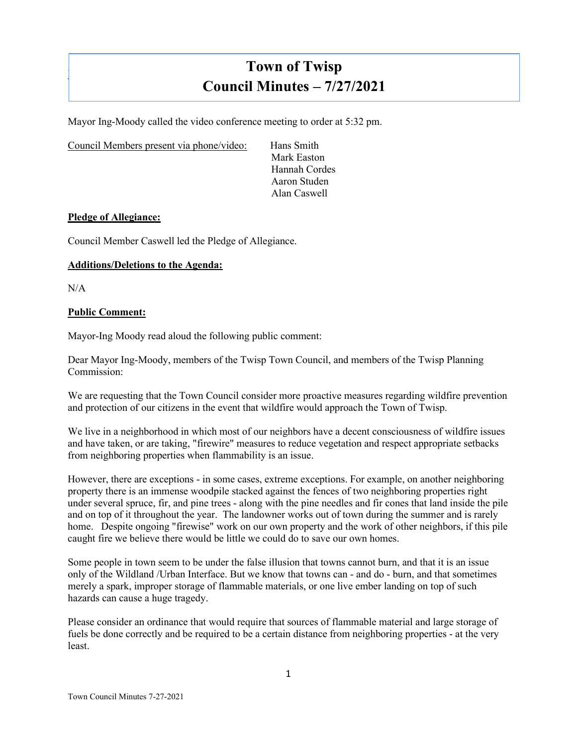# **Town of Twisp Council Minutes – 7/27/2021**

Mayor Ing-Moody called the video conference meeting to order at 5:32 pm.

Council Members present via phone/video: Hans Smith

Mark Easton Hannah Cordes Aaron Studen Alan Caswell

#### **Pledge of Allegiance:**

Council Member Caswell led the Pledge of Allegiance.

## **Additions/Deletions to the Agenda:**

 $N/A$ 

]

#### **Public Comment:**

Mayor-Ing Moody read aloud the following public comment:

Dear Mayor Ing-Moody, members of the Twisp Town Council, and members of the Twisp Planning Commission:

We are requesting that the Town Council consider more proactive measures regarding wildfire prevention and protection of our citizens in the event that wildfire would approach the Town of Twisp.

We live in a neighborhood in which most of our neighbors have a decent consciousness of wildfire issues and have taken, or are taking, "firewire" measures to reduce vegetation and respect appropriate setbacks from neighboring properties when flammability is an issue.

However, there are exceptions - in some cases, extreme exceptions. For example, on another neighboring property there is an immense woodpile stacked against the fences of two neighboring properties right under several spruce, fir, and pine trees - along with the pine needles and fir cones that land inside the pile and on top of it throughout the year. The landowner works out of town during the summer and is rarely home. Despite ongoing "firewise" work on our own property and the work of other neighbors, if this pile caught fire we believe there would be little we could do to save our own homes.

Some people in town seem to be under the false illusion that towns cannot burn, and that it is an issue only of the Wildland /Urban Interface. But we know that towns can - and do - burn, and that sometimes merely a spark, improper storage of flammable materials, or one live ember landing on top of such hazards can cause a huge tragedy.

Please consider an ordinance that would require that sources of flammable material and large storage of fuels be done correctly and be required to be a certain distance from neighboring properties - at the very least.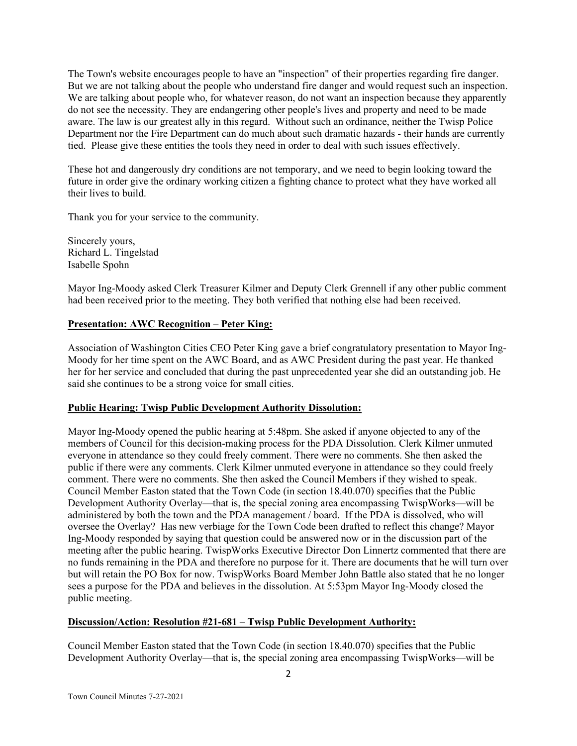The Town's website encourages people to have an "inspection" of their properties regarding fire danger. But we are not talking about the people who understand fire danger and would request such an inspection. We are talking about people who, for whatever reason, do not want an inspection because they apparently do not see the necessity. They are endangering other people's lives and property and need to be made aware. The law is our greatest ally in this regard. Without such an ordinance, neither the Twisp Police Department nor the Fire Department can do much about such dramatic hazards - their hands are currently tied. Please give these entities the tools they need in order to deal with such issues effectively.

These hot and dangerously dry conditions are not temporary, and we need to begin looking toward the future in order give the ordinary working citizen a fighting chance to protect what they have worked all their lives to build.

Thank you for your service to the community.

Sincerely yours, Richard L. Tingelstad Isabelle Spohn

Mayor Ing-Moody asked Clerk Treasurer Kilmer and Deputy Clerk Grennell if any other public comment had been received prior to the meeting. They both verified that nothing else had been received.

# **Presentation: AWC Recognition – Peter King:**

Association of Washington Cities CEO Peter King gave a brief congratulatory presentation to Mayor Ing-Moody for her time spent on the AWC Board, and as AWC President during the past year. He thanked her for her service and concluded that during the past unprecedented year she did an outstanding job. He said she continues to be a strong voice for small cities.

#### **Public Hearing: Twisp Public Development Authority Dissolution:**

Mayor Ing-Moody opened the public hearing at 5:48pm. She asked if anyone objected to any of the members of Council for this decision-making process for the PDA Dissolution. Clerk Kilmer unmuted everyone in attendance so they could freely comment. There were no comments. She then asked the public if there were any comments. Clerk Kilmer unmuted everyone in attendance so they could freely comment. There were no comments. She then asked the Council Members if they wished to speak. Council Member Easton stated that the Town Code (in section 18.40.070) specifies that the Public Development Authority Overlay—that is, the special zoning area encompassing TwispWorks—will be administered by both the town and the PDA management / board. If the PDA is dissolved, who will oversee the Overlay? Has new verbiage for the Town Code been drafted to reflect this change? Mayor Ing-Moody responded by saying that question could be answered now or in the discussion part of the meeting after the public hearing. TwispWorks Executive Director Don Linnertz commented that there are no funds remaining in the PDA and therefore no purpose for it. There are documents that he will turn over but will retain the PO Box for now. TwispWorks Board Member John Battle also stated that he no longer sees a purpose for the PDA and believes in the dissolution. At 5:53pm Mayor Ing-Moody closed the public meeting.

#### **Discussion/Action: Resolution #21-681 – Twisp Public Development Authority:**

Council Member Easton stated that the Town Code (in section 18.40.070) specifies that the Public Development Authority Overlay—that is, the special zoning area encompassing TwispWorks—will be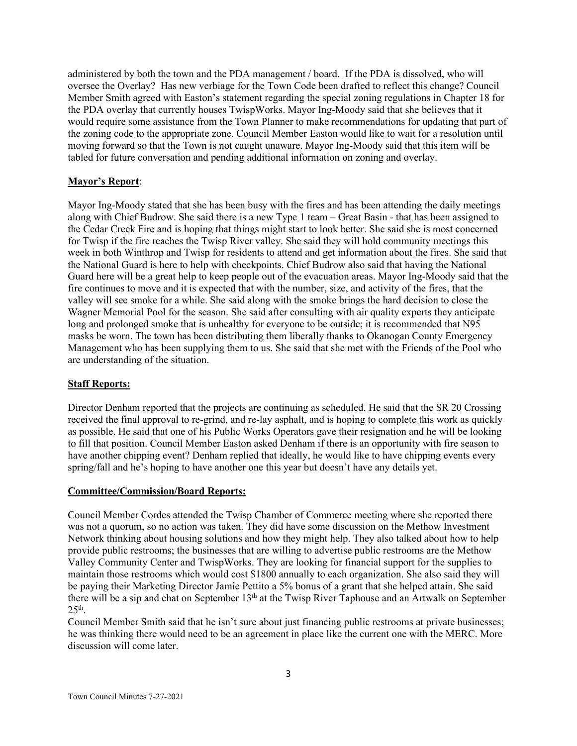administered by both the town and the PDA management / board. If the PDA is dissolved, who will oversee the Overlay? Has new verbiage for the Town Code been drafted to reflect this change? Council Member Smith agreed with Easton's statement regarding the special zoning regulations in Chapter 18 for the PDA overlay that currently houses TwispWorks. Mayor Ing-Moody said that she believes that it would require some assistance from the Town Planner to make recommendations for updating that part of the zoning code to the appropriate zone. Council Member Easton would like to wait for a resolution until moving forward so that the Town is not caught unaware. Mayor Ing-Moody said that this item will be tabled for future conversation and pending additional information on zoning and overlay.

# **Mayor's Report**:

Mayor Ing-Moody stated that she has been busy with the fires and has been attending the daily meetings along with Chief Budrow. She said there is a new Type 1 team – Great Basin - that has been assigned to the Cedar Creek Fire and is hoping that things might start to look better. She said she is most concerned for Twisp if the fire reaches the Twisp River valley. She said they will hold community meetings this week in both Winthrop and Twisp for residents to attend and get information about the fires. She said that the National Guard is here to help with checkpoints. Chief Budrow also said that having the National Guard here will be a great help to keep people out of the evacuation areas. Mayor Ing-Moody said that the fire continues to move and it is expected that with the number, size, and activity of the fires, that the valley will see smoke for a while. She said along with the smoke brings the hard decision to close the Wagner Memorial Pool for the season. She said after consulting with air quality experts they anticipate long and prolonged smoke that is unhealthy for everyone to be outside; it is recommended that N95 masks be worn. The town has been distributing them liberally thanks to Okanogan County Emergency Management who has been supplying them to us. She said that she met with the Friends of the Pool who are understanding of the situation.

#### **Staff Reports:**

Director Denham reported that the projects are continuing as scheduled. He said that the SR 20 Crossing received the final approval to re-grind, and re-lay asphalt, and is hoping to complete this work as quickly as possible. He said that one of his Public Works Operators gave their resignation and he will be looking to fill that position. Council Member Easton asked Denham if there is an opportunity with fire season to have another chipping event? Denham replied that ideally, he would like to have chipping events every spring/fall and he's hoping to have another one this year but doesn't have any details yet.

#### **Committee/Commission/Board Reports:**

Council Member Cordes attended the Twisp Chamber of Commerce meeting where she reported there was not a quorum, so no action was taken. They did have some discussion on the Methow Investment Network thinking about housing solutions and how they might help. They also talked about how to help provide public restrooms; the businesses that are willing to advertise public restrooms are the Methow Valley Community Center and TwispWorks. They are looking for financial support for the supplies to maintain those restrooms which would cost \$1800 annually to each organization. She also said they will be paying their Marketing Director Jamie Pettito a 5% bonus of a grant that she helped attain. She said there will be a sip and chat on September 13<sup>th</sup> at the Twisp River Taphouse and an Artwalk on September  $25<sup>th</sup>$ .

Council Member Smith said that he isn't sure about just financing public restrooms at private businesses; he was thinking there would need to be an agreement in place like the current one with the MERC. More discussion will come later.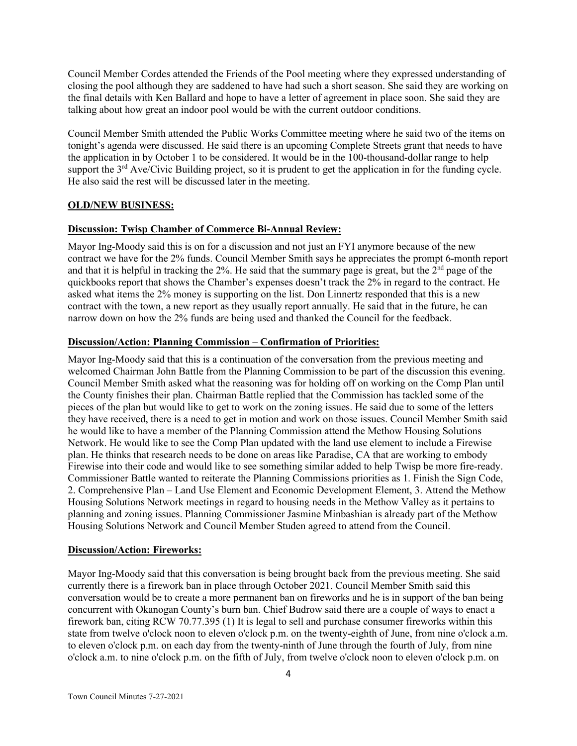Council Member Cordes attended the Friends of the Pool meeting where they expressed understanding of closing the pool although they are saddened to have had such a short season. She said they are working on the final details with Ken Ballard and hope to have a letter of agreement in place soon. She said they are talking about how great an indoor pool would be with the current outdoor conditions.

Council Member Smith attended the Public Works Committee meeting where he said two of the items on tonight's agenda were discussed. He said there is an upcoming Complete Streets grant that needs to have the application in by October 1 to be considered. It would be in the 100-thousand-dollar range to help support the 3<sup>rd</sup> Ave/Civic Building project, so it is prudent to get the application in for the funding cycle. He also said the rest will be discussed later in the meeting.

#### **OLD/NEW BUSINESS:**

#### **Discussion: Twisp Chamber of Commerce Bi-Annual Review:**

Mayor Ing-Moody said this is on for a discussion and not just an FYI anymore because of the new contract we have for the 2% funds. Council Member Smith says he appreciates the prompt 6-month report and that it is helpful in tracking the 2%. He said that the summary page is great, but the  $2<sup>nd</sup>$  page of the quickbooks report that shows the Chamber's expenses doesn't track the 2% in regard to the contract. He asked what items the 2% money is supporting on the list. Don Linnertz responded that this is a new contract with the town, a new report as they usually report annually. He said that in the future, he can narrow down on how the 2% funds are being used and thanked the Council for the feedback.

#### **Discussion/Action: Planning Commission – Confirmation of Priorities:**

Mayor Ing-Moody said that this is a continuation of the conversation from the previous meeting and welcomed Chairman John Battle from the Planning Commission to be part of the discussion this evening. Council Member Smith asked what the reasoning was for holding off on working on the Comp Plan until the County finishes their plan. Chairman Battle replied that the Commission has tackled some of the pieces of the plan but would like to get to work on the zoning issues. He said due to some of the letters they have received, there is a need to get in motion and work on those issues. Council Member Smith said he would like to have a member of the Planning Commission attend the Methow Housing Solutions Network. He would like to see the Comp Plan updated with the land use element to include a Firewise plan. He thinks that research needs to be done on areas like Paradise, CA that are working to embody Firewise into their code and would like to see something similar added to help Twisp be more fire-ready. Commissioner Battle wanted to reiterate the Planning Commissions priorities as 1. Finish the Sign Code, 2. Comprehensive Plan – Land Use Element and Economic Development Element, 3. Attend the Methow Housing Solutions Network meetings in regard to housing needs in the Methow Valley as it pertains to planning and zoning issues. Planning Commissioner Jasmine Minbashian is already part of the Methow Housing Solutions Network and Council Member Studen agreed to attend from the Council.

#### **Discussion/Action: Fireworks:**

Mayor Ing-Moody said that this conversation is being brought back from the previous meeting. She said currently there is a firework ban in place through October 2021. Council Member Smith said this conversation would be to create a more permanent ban on fireworks and he is in support of the ban being concurrent with Okanogan County's burn ban. Chief Budrow said there are a couple of ways to enact a firework ban, citing RCW 70.77.395 (1) It is legal to sell and purchase consumer fireworks within this state from twelve o'clock noon to eleven o'clock p.m. on the twenty-eighth of June, from nine o'clock a.m. to eleven o'clock p.m. on each day from the twenty-ninth of June through the fourth of July, from nine o'clock a.m. to nine o'clock p.m. on the fifth of July, from twelve o'clock noon to eleven o'clock p.m. on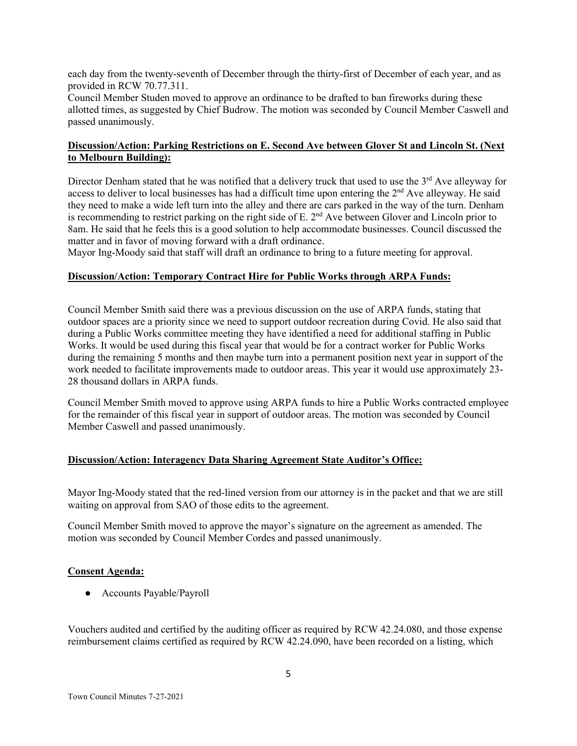each day from the twenty-seventh of December through the thirty-first of December of each year, and as provided in RCW [70.77.311.](http://app.leg.wa.gov/RCW/default.aspx?cite=70.77.311)

Council Member Studen moved to approve an ordinance to be drafted to ban fireworks during these allotted times, as suggested by Chief Budrow. The motion was seconded by Council Member Caswell and passed unanimously.

## **Discussion/Action: Parking Restrictions on E. Second Ave between Glover St and Lincoln St. (Next to Melbourn Building):**

Director Denham stated that he was notified that a delivery truck that used to use the  $3<sup>rd</sup>$  Ave alleyway for access to deliver to local businesses has had a difficult time upon entering the 2<sup>nd</sup> Ave alleyway. He said they need to make a wide left turn into the alley and there are cars parked in the way of the turn. Denham is recommending to restrict parking on the right side of E.  $2<sup>nd</sup>$  Ave between Glover and Lincoln prior to 8am. He said that he feels this is a good solution to help accommodate businesses. Council discussed the matter and in favor of moving forward with a draft ordinance.

Mayor Ing-Moody said that staff will draft an ordinance to bring to a future meeting for approval.

#### **Discussion/Action: Temporary Contract Hire for Public Works through ARPA Funds:**

Council Member Smith said there was a previous discussion on the use of ARPA funds, stating that outdoor spaces are a priority since we need to support outdoor recreation during Covid. He also said that during a Public Works committee meeting they have identified a need for additional staffing in Public Works. It would be used during this fiscal year that would be for a contract worker for Public Works during the remaining 5 months and then maybe turn into a permanent position next year in support of the work needed to facilitate improvements made to outdoor areas. This year it would use approximately 23- 28 thousand dollars in ARPA funds.

Council Member Smith moved to approve using ARPA funds to hire a Public Works contracted employee for the remainder of this fiscal year in support of outdoor areas. The motion was seconded by Council Member Caswell and passed unanimously.

#### **Discussion/Action: Interagency Data Sharing Agreement State Auditor's Office:**

Mayor Ing-Moody stated that the red-lined version from our attorney is in the packet and that we are still waiting on approval from SAO of those edits to the agreement.

Council Member Smith moved to approve the mayor's signature on the agreement as amended. The motion was seconded by Council Member Cordes and passed unanimously.

#### **Consent Agenda:**

● Accounts Payable/Payroll

Vouchers audited and certified by the auditing officer as required by RCW 42.24.080, and those expense reimbursement claims certified as required by RCW 42.24.090, have been recorded on a listing, which